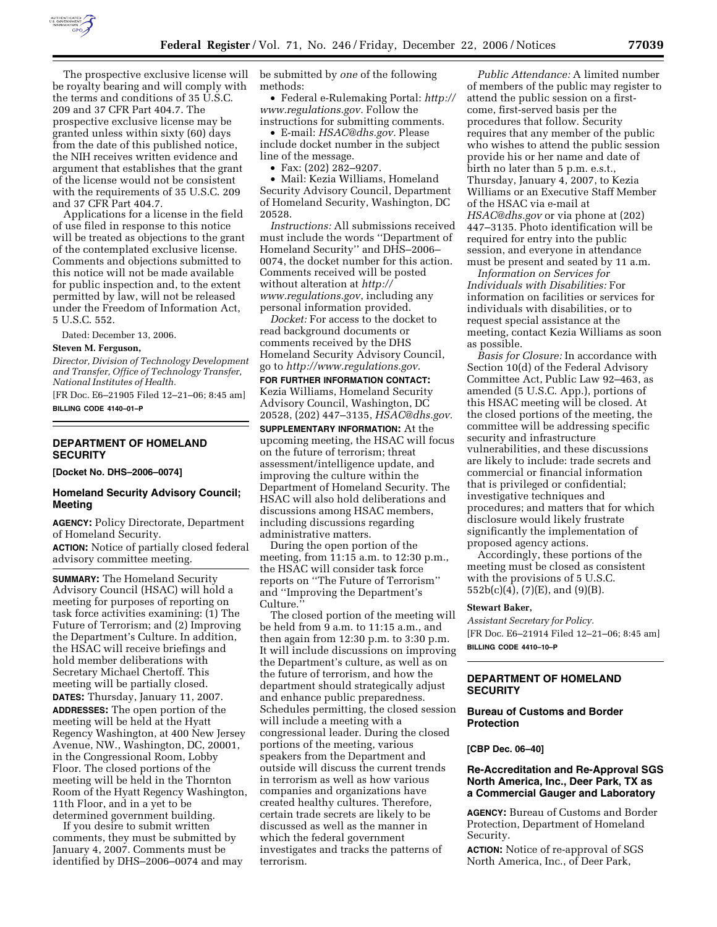

The prospective exclusive license will be royalty bearing and will comply with the terms and conditions of 35 U.S.C. 209 and 37 CFR Part 404.7. The prospective exclusive license may be granted unless within sixty (60) days from the date of this published notice, the NIH receives written evidence and argument that establishes that the grant of the license would not be consistent with the requirements of 35 U.S.C. 209 and 37 CFR Part 404.7.

Applications for a license in the field of use filed in response to this notice will be treated as objections to the grant of the contemplated exclusive license. Comments and objections submitted to this notice will not be made available for public inspection and, to the extent permitted by law, will not be released under the Freedom of Information Act, 5 U.S.C. 552.

Dated: December 13, 2006.

#### **Steven M. Ferguson,**

*Director, Division of Technology Development and Transfer, Office of Technology Transfer, National Institutes of Health.* 

[FR Doc. E6–21905 Filed 12–21–06; 8:45 am] **BILLING CODE 4140–01–P** 

# **DEPARTMENT OF HOMELAND SECURITY**

**[Docket No. DHS–2006–0074]** 

# **Homeland Security Advisory Council; Meeting**

**AGENCY:** Policy Directorate, Department of Homeland Security.

**ACTION:** Notice of partially closed federal advisory committee meeting.

**SUMMARY:** The Homeland Security Advisory Council (HSAC) will hold a meeting for purposes of reporting on task force activities examining: (1) The Future of Terrorism; and (2) Improving the Department's Culture. In addition, the HSAC will receive briefings and hold member deliberations with Secretary Michael Chertoff. This meeting will be partially closed. **DATES:** Thursday, January 11, 2007. **ADDRESSES:** The open portion of the meeting will be held at the Hyatt Regency Washington, at 400 New Jersey Avenue, NW., Washington, DC, 20001, in the Congressional Room, Lobby Floor. The closed portions of the meeting will be held in the Thornton Room of the Hyatt Regency Washington, 11th Floor, and in a yet to be determined government building.

If you desire to submit written comments, they must be submitted by January 4, 2007. Comments must be identified by DHS–2006–0074 and may be submitted by *one* of the following methods:

• Federal e-Rulemaking Portal: *http:// www.regulations.gov.* Follow the instructions for submitting comments.

• E-mail: *HSAC@dhs.gov.* Please include docket number in the subject line of the message.

• Fax: (202) 282–9207.

• Mail: Kezia Williams, Homeland Security Advisory Council, Department of Homeland Security, Washington, DC 20528.

*Instructions:* All submissions received must include the words ''Department of Homeland Security'' and DHS–2006– 0074, the docket number for this action. Comments received will be posted without alteration at *http:// www.regulations.gov*, including any personal information provided.

*Docket:* For access to the docket to read background documents or comments received by the DHS Homeland Security Advisory Council, go to *http://www.regulations.gov.* 

**FOR FURTHER INFORMATION CONTACT:**  Kezia Williams, Homeland Security Advisory Council, Washington, DC 20528, (202) 447–3135, *HSAC@dhs.gov.* 

**SUPPLEMENTARY INFORMATION:** At the upcoming meeting, the HSAC will focus on the future of terrorism; threat assessment/intelligence update, and improving the culture within the Department of Homeland Security. The HSAC will also hold deliberations and discussions among HSAC members, including discussions regarding administrative matters.

During the open portion of the meeting, from 11:15 a.m. to 12:30 p.m., the HSAC will consider task force reports on ''The Future of Terrorism'' and ''Improving the Department's Culture.''

The closed portion of the meeting will be held from 9 a.m. to 11:15 a.m., and then again from 12:30 p.m. to 3:30 p.m. It will include discussions on improving the Department's culture, as well as on the future of terrorism, and how the department should strategically adjust and enhance public preparedness. Schedules permitting, the closed session will include a meeting with a congressional leader. During the closed portions of the meeting, various speakers from the Department and outside will discuss the current trends in terrorism as well as how various companies and organizations have created healthy cultures. Therefore, certain trade secrets are likely to be discussed as well as the manner in which the federal government investigates and tracks the patterns of terrorism.

*Public Attendance:* A limited number of members of the public may register to attend the public session on a firstcome, first-served basis per the procedures that follow. Security requires that any member of the public who wishes to attend the public session provide his or her name and date of birth no later than 5 p.m. e.s.t., Thursday, January 4, 2007, to Kezia Williams or an Executive Staff Member of the HSAC via e-mail at *HSAC@dhs.gov* or via phone at (202) 447–3135. Photo identification will be required for entry into the public session, and everyone in attendance must be present and seated by 11 a.m.

*Information on Services for Individuals with Disabilities:* For information on facilities or services for individuals with disabilities, or to request special assistance at the meeting, contact Kezia Williams as soon as possible.

*Basis for Closure:* In accordance with Section 10(d) of the Federal Advisory Committee Act, Public Law 92–463, as amended (5 U.S.C. App.), portions of this HSAC meeting will be closed. At the closed portions of the meeting, the committee will be addressing specific security and infrastructure vulnerabilities, and these discussions are likely to include: trade secrets and commercial or financial information that is privileged or confidential; investigative techniques and procedures; and matters that for which disclosure would likely frustrate significantly the implementation of proposed agency actions.

Accordingly, these portions of the meeting must be closed as consistent with the provisions of 5 U.S.C. 552b(c)(4), (7)(E), and (9)(B).

### **Stewart Baker,**

*Assistant Secretary for Policy.*  [FR Doc. E6–21914 Filed 12–21–06; 8:45 am] **BILLING CODE 4410–10–P** 

# **DEPARTMENT OF HOMELAND SECURITY**

# **Bureau of Customs and Border Protection**

#### **[CBP Dec. 06–40]**

### **Re-Accreditation and Re-Approval SGS North America, Inc., Deer Park, TX as a Commercial Gauger and Laboratory**

**AGENCY:** Bureau of Customs and Border Protection, Department of Homeland Security.

**ACTION:** Notice of re-approval of SGS North America, Inc., of Deer Park,